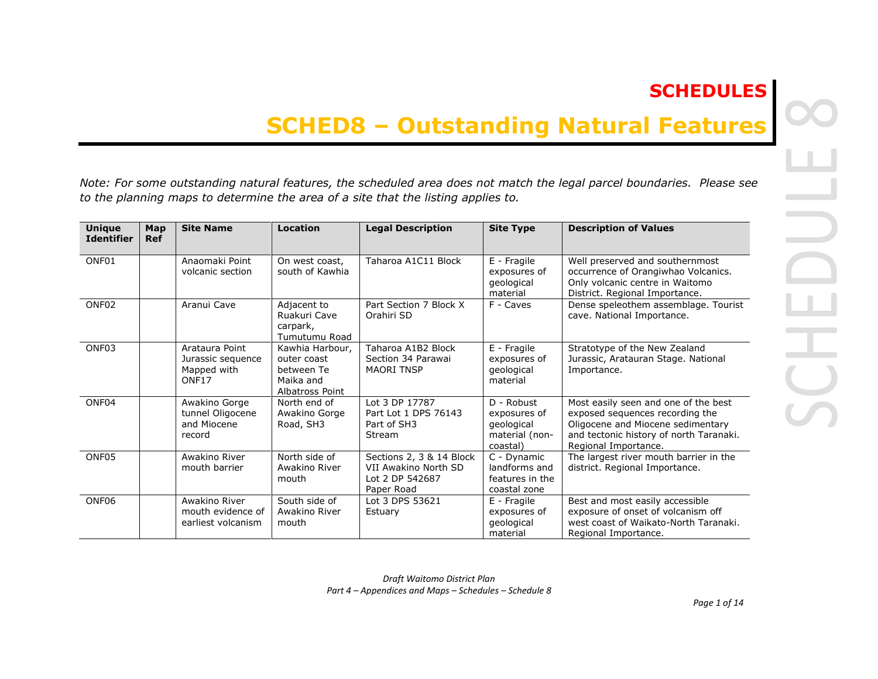# **SCHEDULES**

# **SCHED8 – Outstanding Natural Features**

*Note: For some outstanding natural features, the scheduled area does not match the legal parcel boundaries. Please see to the planning maps to determine the area of a site that the listing applies to.* 

| <b>Unique</b><br><b>Identifier</b> | Map<br><b>Ref</b> | <b>Site Name</b>                                                        | <b>Location</b>                                                              | <b>Legal Description</b>                                                          | <b>Site Type</b>                                                       | <b>Description of Values</b>                                                                                                                                                    |
|------------------------------------|-------------------|-------------------------------------------------------------------------|------------------------------------------------------------------------------|-----------------------------------------------------------------------------------|------------------------------------------------------------------------|---------------------------------------------------------------------------------------------------------------------------------------------------------------------------------|
| ONF01                              |                   | Anaomaki Point<br>volcanic section                                      | On west coast,<br>south of Kawhia                                            | Taharoa A1C11 Block                                                               | E - Fragile<br>exposures of<br>geological<br>material                  | Well preserved and southernmost<br>occurrence of Orangiwhao Volcanics.<br>Only volcanic centre in Waitomo<br>District. Regional Importance.                                     |
| ONF <sub>02</sub>                  |                   | Aranui Cave                                                             | Adjacent to<br>Ruakuri Cave<br>carpark,<br>Tumutumu Road                     | Part Section 7 Block X<br>Orahiri SD                                              | F - Caves                                                              | Dense speleothem assemblage. Tourist<br>cave. National Importance.                                                                                                              |
| ONF <sub>03</sub>                  |                   | Arataura Point<br>Jurassic sequence<br>Mapped with<br>ONF <sub>17</sub> | Kawhia Harbour,<br>outer coast<br>between Te<br>Maika and<br>Albatross Point | Taharoa A1B2 Block<br>Section 34 Parawai<br><b>MAORI TNSP</b>                     | E - Fragile<br>exposures of<br>geological<br>material                  | Stratotype of the New Zealand<br>Jurassic, Aratauran Stage. National<br>Importance.                                                                                             |
| ONF04                              |                   | Awakino Gorge<br>tunnel Oligocene<br>and Miocene<br>record              | North end of<br>Awakino Gorge<br>Road, SH3                                   | Lot 3 DP 17787<br>Part Lot 1 DPS 76143<br>Part of SH3<br>Stream                   | D - Robust<br>exposures of<br>geological<br>material (non-<br>coastal) | Most easily seen and one of the best<br>exposed sequences recording the<br>Oligocene and Miocene sedimentary<br>and tectonic history of north Taranaki.<br>Regional Importance. |
| ONF05                              |                   | Awakino River<br>mouth barrier                                          | North side of<br>Awakino River<br>mouth                                      | Sections 2, 3 & 14 Block<br>VII Awakino North SD<br>Lot 2 DP 542687<br>Paper Road | C - Dynamic<br>landforms and<br>features in the<br>coastal zone        | The largest river mouth barrier in the<br>district. Regional Importance.                                                                                                        |
| ONF <sub>06</sub>                  |                   | Awakino River<br>mouth evidence of<br>earliest volcanism                | South side of<br>Awakino River<br>mouth                                      | Lot 3 DPS 53621<br>Estuary                                                        | E - Fragile<br>exposures of<br>geological<br>material                  | Best and most easily accessible<br>exposure of onset of volcanism off<br>west coast of Waikato-North Taranaki.<br>Regional Importance.                                          |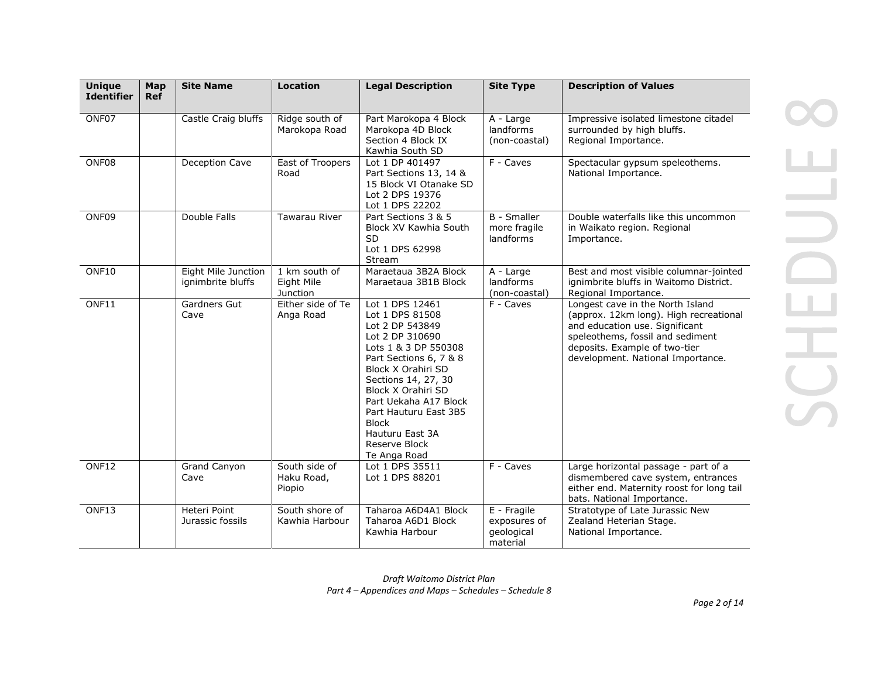| <b>Unique</b><br><b>Identifier</b> | Map<br><b>Ref</b> | <b>Site Name</b>                         | <b>Location</b>                         | <b>Legal Description</b>                                                                                                                                                                                                                                                                                            | <b>Site Type</b>                                      | <b>Description of Values</b>                                                                                                                                                                                           |
|------------------------------------|-------------------|------------------------------------------|-----------------------------------------|---------------------------------------------------------------------------------------------------------------------------------------------------------------------------------------------------------------------------------------------------------------------------------------------------------------------|-------------------------------------------------------|------------------------------------------------------------------------------------------------------------------------------------------------------------------------------------------------------------------------|
| ONF07                              |                   | Castle Craig bluffs                      | Ridge south of<br>Marokopa Road         | Part Marokopa 4 Block<br>Marokopa 4D Block<br>Section 4 Block IX<br>Kawhia South SD                                                                                                                                                                                                                                 | A - Large<br>landforms<br>(non-coastal)               | Impressive isolated limestone citadel<br>surrounded by high bluffs.<br>Regional Importance.                                                                                                                            |
| ONF08                              |                   | Deception Cave                           | East of Troopers<br>Road                | Lot 1 DP 401497<br>Part Sections 13, 14 &<br>15 Block VI Otanake SD<br>Lot 2 DPS 19376<br>Lot 1 DPS 22202                                                                                                                                                                                                           | F - Caves                                             | Spectacular gypsum speleothems.<br>National Importance.                                                                                                                                                                |
| ONF09                              |                   | Double Falls                             | Tawarau River                           | Part Sections 3 & 5<br><b>Block XV Kawhia South</b><br><b>SD</b><br>Lot 1 DPS 62998<br>Stream                                                                                                                                                                                                                       | <b>B</b> - Smaller<br>more fragile<br>landforms       | Double waterfalls like this uncommon<br>in Waikato region. Regional<br>Importance.                                                                                                                                     |
| ONF10                              |                   | Eight Mile Junction<br>ignimbrite bluffs | 1 km south of<br>Eight Mile<br>Junction | Maraetaua 3B2A Block<br>Maraetaua 3B1B Block                                                                                                                                                                                                                                                                        | A - Large<br>landforms<br>(non-coastal)               | Best and most visible columnar-jointed<br>ignimbrite bluffs in Waitomo District.<br>Regional Importance.                                                                                                               |
| ONF11                              |                   | Gardners Gut<br>Cave                     | Either side of Te<br>Anga Road          | Lot 1 DPS 12461<br>Lot 1 DPS 81508<br>Lot 2 DP 543849<br>Lot 2 DP 310690<br>Lots 1 & 3 DP 550308<br>Part Sections 6, 7 & 8<br>Block X Orahiri SD<br>Sections 14, 27, 30<br>Block X Orahiri SD<br>Part Uekaha A17 Block<br>Part Hauturu East 3B5<br><b>Block</b><br>Hauturu East 3A<br>Reserve Block<br>Te Anga Road | F - Caves                                             | Longest cave in the North Island<br>(approx. 12km long). High recreational<br>and education use. Significant<br>speleothems, fossil and sediment<br>deposits. Example of two-tier<br>development. National Importance. |
| ONF12                              |                   | Grand Canyon<br>Cave                     | South side of<br>Haku Road,<br>Piopio   | Lot 1 DPS 35511<br>Lot 1 DPS 88201                                                                                                                                                                                                                                                                                  | F - Caves                                             | Large horizontal passage - part of a<br>dismembered cave system, entrances<br>either end. Maternity roost for long tail<br>bats. National Importance.                                                                  |
| ONF13                              |                   | Heteri Point<br>Jurassic fossils         | South shore of<br>Kawhia Harbour        | Taharoa A6D4A1 Block<br>Taharoa A6D1 Block<br>Kawhia Harbour                                                                                                                                                                                                                                                        | E - Fragile<br>exposures of<br>geological<br>material | Stratotype of Late Jurassic New<br>Zealand Heterian Stage.<br>National Importance.                                                                                                                                     |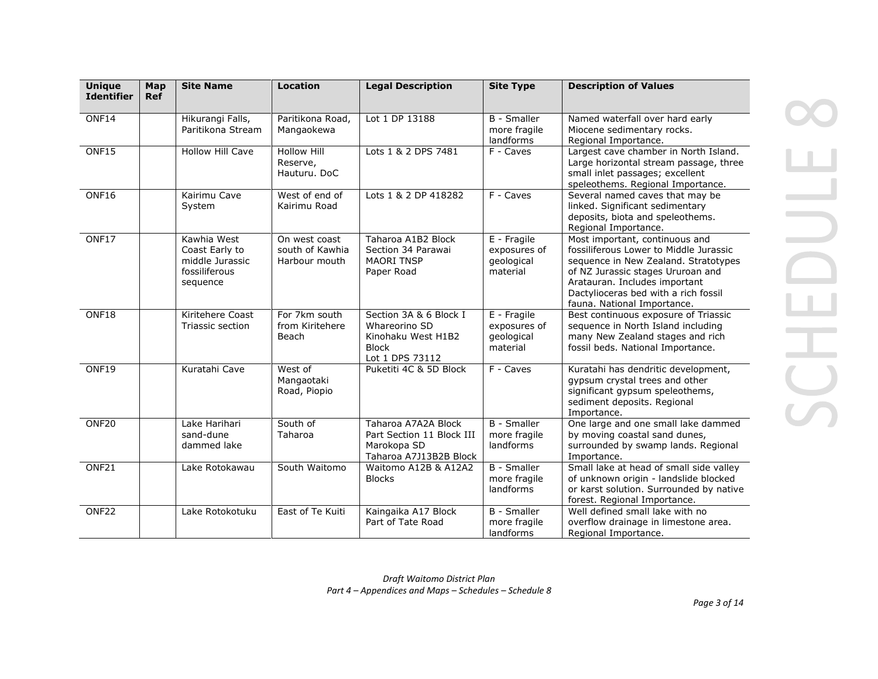| <b>Unique</b><br><b>Identifier</b> | Map<br><b>Ref</b> | <b>Site Name</b>                                                              | <b>Location</b>                                   | <b>Legal Description</b>                                                                         | <b>Site Type</b>                                      | <b>Description of Values</b>                                                                                                                                                                                                                                  |
|------------------------------------|-------------------|-------------------------------------------------------------------------------|---------------------------------------------------|--------------------------------------------------------------------------------------------------|-------------------------------------------------------|---------------------------------------------------------------------------------------------------------------------------------------------------------------------------------------------------------------------------------------------------------------|
| ONF14                              |                   | Hikurangi Falls,<br>Paritikona Stream                                         | Paritikona Road,<br>Mangaokewa                    | Lot 1 DP 13188                                                                                   | <b>B</b> - Smaller<br>more fragile<br>landforms       | Named waterfall over hard early<br>Miocene sedimentary rocks.<br>Regional Importance.                                                                                                                                                                         |
| ONF15                              |                   | <b>Hollow Hill Cave</b>                                                       | <b>Hollow Hill</b><br>Reserve,<br>Hauturu. DoC    | Lots 1 & 2 DPS 7481                                                                              | F - Caves                                             | Largest cave chamber in North Island.<br>Large horizontal stream passage, three<br>small inlet passages; excellent<br>speleothems. Regional Importance.                                                                                                       |
| ONF16                              |                   | Kairimu Cave<br>System                                                        | West of end of<br>Kairimu Road                    | Lots 1 & 2 DP 418282                                                                             | F - Caves                                             | Several named caves that may be<br>linked. Significant sedimentary<br>deposits, biota and speleothems.<br>Regional Importance.                                                                                                                                |
| ONF17                              |                   | Kawhia West<br>Coast Early to<br>middle Jurassic<br>fossiliferous<br>sequence | On west coast<br>south of Kawhia<br>Harbour mouth | Taharoa A1B2 Block<br>Section 34 Parawai<br><b>MAORI TNSP</b><br>Paper Road                      | E - Fragile<br>exposures of<br>geological<br>material | Most important, continuous and<br>fossiliferous Lower to Middle Jurassic<br>sequence in New Zealand. Stratotypes<br>of NZ Jurassic stages Ururoan and<br>Aratauran. Includes important<br>Dactylioceras bed with a rich fossil<br>fauna. National Importance. |
| ONF18                              |                   | Kiritehere Coast<br>Triassic section                                          | For 7km south<br>from Kiritehere<br>Beach         | Section 3A & 6 Block I<br>Whareorino SD<br>Kinohaku West H1B2<br><b>Block</b><br>Lot 1 DPS 73112 | E - Fragile<br>exposures of<br>geological<br>material | Best continuous exposure of Triassic<br>sequence in North Island including<br>many New Zealand stages and rich<br>fossil beds. National Importance.                                                                                                           |
| ONF19                              |                   | Kuratahi Cave                                                                 | West of<br>Mangaotaki<br>Road, Piopio             | Puketiti 4C & 5D Block                                                                           | F - Caves                                             | Kuratahi has dendritic development,<br>gypsum crystal trees and other<br>significant gypsum speleothems,<br>sediment deposits. Regional<br>Importance.                                                                                                        |
| ONF <sub>20</sub>                  |                   | Lake Harihari<br>sand-dune<br>dammed lake                                     | South of<br>Taharoa                               | Taharoa A7A2A Block<br>Part Section 11 Block III<br>Marokopa SD<br>Taharoa A7J13B2B Block        | <b>B</b> - Smaller<br>more fragile<br>landforms       | One large and one small lake dammed<br>by moving coastal sand dunes,<br>surrounded by swamp lands. Regional<br>Importance.                                                                                                                                    |
| ONF21                              |                   | Lake Rotokawau                                                                | South Waitomo                                     | Waitomo A12B & A12A2<br><b>Blocks</b>                                                            | <b>B</b> - Smaller<br>more fragile<br>landforms       | Small lake at head of small side valley<br>of unknown origin - landslide blocked<br>or karst solution. Surrounded by native<br>forest. Regional Importance.                                                                                                   |
| ONF <sub>22</sub>                  |                   | Lake Rotokotuku                                                               | East of Te Kuiti                                  | Kaingaika A17 Block<br>Part of Tate Road                                                         | <b>B</b> - Smaller<br>more fragile<br>landforms       | Well defined small lake with no<br>overflow drainage in limestone area.<br>Regional Importance.                                                                                                                                                               |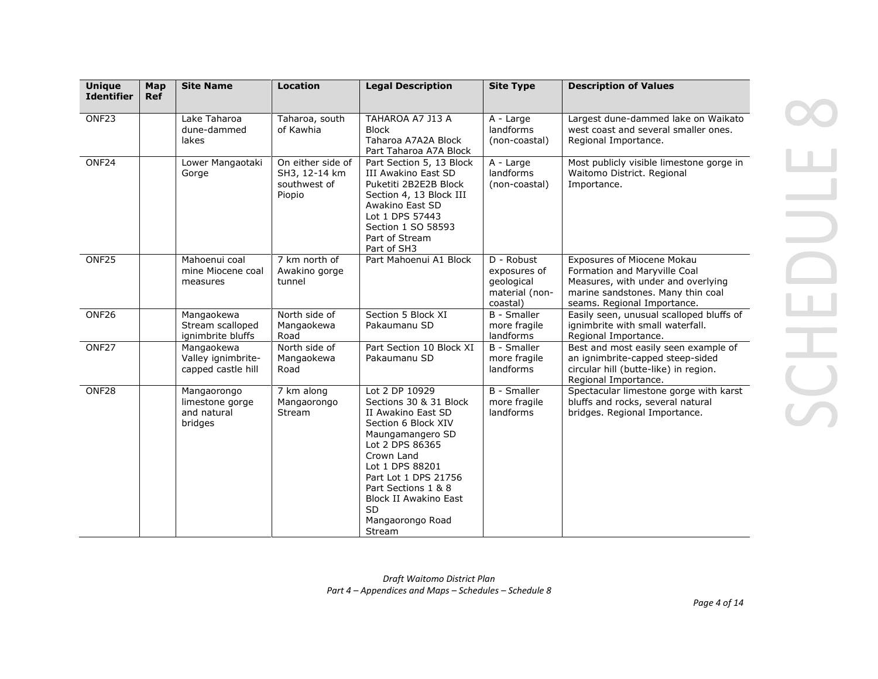| <b>Unique</b><br><b>Identifier</b> | Map<br><b>Ref</b> | <b>Site Name</b>                                         | <b>Location</b>                                              | <b>Legal Description</b>                                                                                                                                                                                                                                                                | <b>Site Type</b>                                                       | <b>Description of Values</b>                                                                                                                                                |
|------------------------------------|-------------------|----------------------------------------------------------|--------------------------------------------------------------|-----------------------------------------------------------------------------------------------------------------------------------------------------------------------------------------------------------------------------------------------------------------------------------------|------------------------------------------------------------------------|-----------------------------------------------------------------------------------------------------------------------------------------------------------------------------|
| ONF <sub>23</sub>                  |                   | Lake Taharoa<br>dune-dammed<br>lakes                     | Taharoa, south<br>of Kawhia                                  | TAHAROA A7 J13 A<br><b>Block</b><br>Taharoa A7A2A Block<br>Part Taharoa A7A Block                                                                                                                                                                                                       | A - Large<br>landforms<br>(non-coastal)                                | Largest dune-dammed lake on Waikato<br>west coast and several smaller ones.<br>Regional Importance.                                                                         |
| ONF <sub>24</sub>                  |                   | Lower Mangaotaki<br>Gorge                                | On either side of<br>SH3, 12-14 km<br>southwest of<br>Piopio | Part Section 5, 13 Block<br><b>III Awakino East SD</b><br>Puketiti 2B2E2B Block<br>Section 4, 13 Block III<br>Awakino East SD<br>Lot 1 DPS 57443<br>Section 1 SO 58593<br>Part of Stream<br>Part of SH3                                                                                 | A - Large<br>landforms<br>(non-coastal)                                | Most publicly visible limestone gorge in<br>Waitomo District. Regional<br>Importance.                                                                                       |
| ONF <sub>25</sub>                  |                   | Mahoenui coal<br>mine Miocene coal<br>measures           | 7 km north of<br>Awakino gorge<br>tunnel                     | Part Mahoenui A1 Block                                                                                                                                                                                                                                                                  | D - Robust<br>exposures of<br>qeological<br>material (non-<br>coastal) | <b>Exposures of Miocene Mokau</b><br>Formation and Maryville Coal<br>Measures, with under and overlying<br>marine sandstones. Many thin coal<br>seams. Regional Importance. |
| ONF <sub>26</sub>                  |                   | Mangaokewa<br>Stream scalloped<br>ignimbrite bluffs      | North side of<br>Mangaokewa<br>Road                          | Section 5 Block XI<br>Pakaumanu SD                                                                                                                                                                                                                                                      | <b>B</b> - Smaller<br>more fragile<br>landforms                        | Easily seen, unusual scalloped bluffs of<br>ignimbrite with small waterfall.<br>Regional Importance.                                                                        |
| ONF <sub>27</sub>                  |                   | Mangaokewa<br>Valley ignimbrite-<br>capped castle hill   | North side of<br>Mangaokewa<br>Road                          | Part Section 10 Block XI<br>Pakaumanu SD                                                                                                                                                                                                                                                | <b>B</b> - Smaller<br>more fragile<br>landforms                        | Best and most easily seen example of<br>an ignimbrite-capped steep-sided<br>circular hill (butte-like) in region.<br>Regional Importance.                                   |
| ONF28                              |                   | Mangaorongo<br>limestone gorge<br>and natural<br>bridges | 7 km along<br>Mangaorongo<br>Stream                          | Lot 2 DP 10929<br>Sections 30 & 31 Block<br>II Awakino East SD<br>Section 6 Block XIV<br>Maungamangero SD<br>Lot 2 DPS 86365<br>Crown Land<br>Lot 1 DPS 88201<br>Part Lot 1 DPS 21756<br>Part Sections 1 & 8<br><b>Block II Awakino East</b><br><b>SD</b><br>Mangaorongo Road<br>Stream | <b>B</b> - Smaller<br>more fragile<br>landforms                        | Spectacular limestone gorge with karst<br>bluffs and rocks, several natural<br>bridges. Regional Importance.                                                                |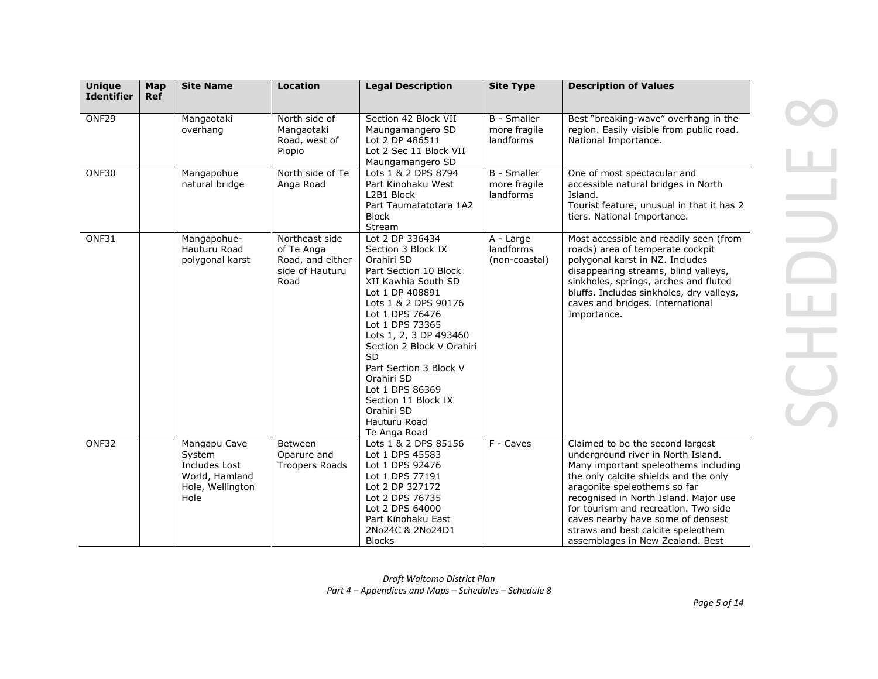| <b>Unique</b><br><b>Identifier</b> | Map<br><b>Ref</b> | <b>Site Name</b>                                                                      | <b>Location</b>                                                             | <b>Legal Description</b>                                                                                                                                                                                                                                                                                                                                                                 | <b>Site Type</b>                                | <b>Description of Values</b>                                                                                                                                                                                                                                                                                                                                                            |
|------------------------------------|-------------------|---------------------------------------------------------------------------------------|-----------------------------------------------------------------------------|------------------------------------------------------------------------------------------------------------------------------------------------------------------------------------------------------------------------------------------------------------------------------------------------------------------------------------------------------------------------------------------|-------------------------------------------------|-----------------------------------------------------------------------------------------------------------------------------------------------------------------------------------------------------------------------------------------------------------------------------------------------------------------------------------------------------------------------------------------|
| ONF29                              |                   | Mangaotaki<br>overhang                                                                | North side of<br>Mangaotaki<br>Road, west of<br>Piopio                      | Section 42 Block VII<br>Maungamangero SD<br>Lot 2 DP 486511<br>Lot 2 Sec 11 Block VII<br>Maungamangero SD                                                                                                                                                                                                                                                                                | <b>B</b> - Smaller<br>more fragile<br>landforms | Best "breaking-wave" overhang in the<br>region. Easily visible from public road.<br>National Importance.                                                                                                                                                                                                                                                                                |
| ONF30                              |                   | Mangapohue<br>natural bridge                                                          | North side of Te<br>Anga Road                                               | Lots 1 & 2 DPS 8794<br>Part Kinohaku West<br>L2B1 Block<br>Part Taumatatotara 1A2<br><b>Block</b><br>Stream                                                                                                                                                                                                                                                                              | <b>B</b> - Smaller<br>more fragile<br>landforms | One of most spectacular and<br>accessible natural bridges in North<br>Island.<br>Tourist feature, unusual in that it has 2<br>tiers. National Importance.                                                                                                                                                                                                                               |
| ONF31                              |                   | Mangapohue-<br>Hauturu Road<br>polygonal karst                                        | Northeast side<br>of Te Anga<br>Road, and either<br>side of Hauturu<br>Road | Lot 2 DP 336434<br>Section 3 Block IX<br>Orahiri SD<br>Part Section 10 Block<br>XII Kawhia South SD<br>Lot 1 DP 408891<br>Lots 1 & 2 DPS 90176<br>Lot 1 DPS 76476<br>Lot 1 DPS 73365<br>Lots 1, 2, 3 DP 493460<br>Section 2 Block V Orahiri<br><b>SD</b><br>Part Section 3 Block V<br>Orahiri SD<br>Lot 1 DPS 86369<br>Section 11 Block IX<br>Orahiri SD<br>Hauturu Road<br>Te Anga Road | A - Large<br>landforms<br>(non-coastal)         | Most accessible and readily seen (from<br>roads) area of temperate cockpit<br>polygonal karst in NZ. Includes<br>disappearing streams, blind valleys,<br>sinkholes, springs, arches and fluted<br>bluffs. Includes sinkholes, dry valleys,<br>caves and bridges. International<br>Importance.                                                                                           |
| ONF32                              |                   | Mangapu Cave<br>System<br>Includes Lost<br>World, Hamland<br>Hole, Wellington<br>Hole | Between<br>Oparure and<br><b>Troopers Roads</b>                             | Lots 1 & 2 DPS 85156<br>Lot 1 DPS 45583<br>Lot 1 DPS 92476<br>Lot 1 DPS 77191<br>Lot 2 DP 327172<br>Lot 2 DPS 76735<br>Lot 2 DPS 64000<br>Part Kinohaku East<br>2No24C & 2No24D1<br><b>Blocks</b>                                                                                                                                                                                        | $F -$ Caves                                     | Claimed to be the second largest<br>underground river in North Island.<br>Many important speleothems including<br>the only calcite shields and the only<br>aragonite speleothems so far<br>recognised in North Island. Major use<br>for tourism and recreation. Two side<br>caves nearby have some of densest<br>straws and best calcite speleothem<br>assemblages in New Zealand. Best |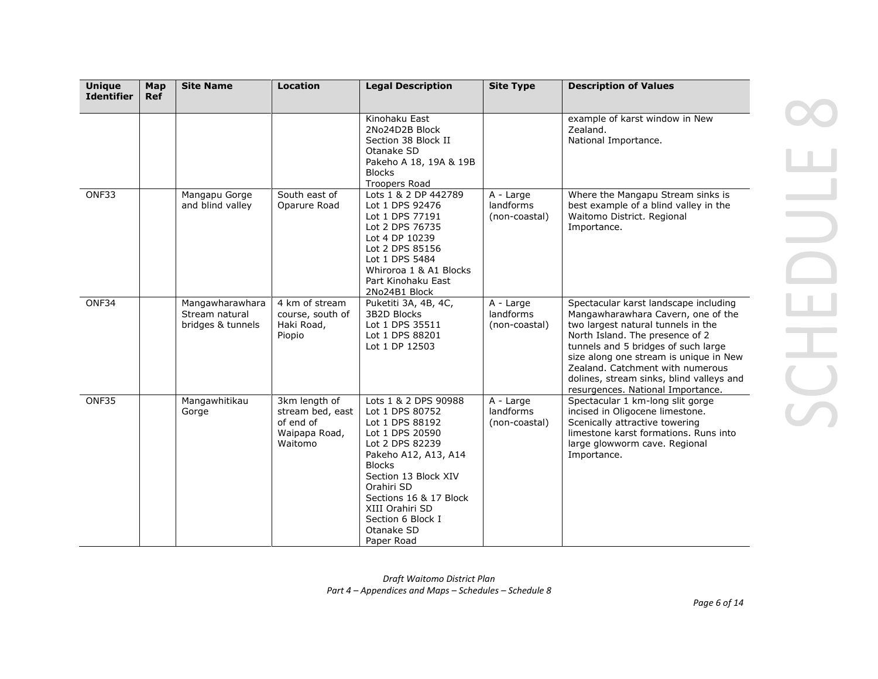| <b>Unique</b><br><b>Identifier</b> | Map<br><b>Ref</b> | <b>Site Name</b>                                       | <b>Location</b>                                                            | <b>Legal Description</b>                                                                                                                                                                                                                                                      | <b>Site Type</b>                        | <b>Description of Values</b>                                                                                                                                                                                                                                                                                                                               |
|------------------------------------|-------------------|--------------------------------------------------------|----------------------------------------------------------------------------|-------------------------------------------------------------------------------------------------------------------------------------------------------------------------------------------------------------------------------------------------------------------------------|-----------------------------------------|------------------------------------------------------------------------------------------------------------------------------------------------------------------------------------------------------------------------------------------------------------------------------------------------------------------------------------------------------------|
|                                    |                   |                                                        |                                                                            | Kinohaku East<br>2No24D2B Block<br>Section 38 Block II<br>Otanake SD<br>Pakeho A 18, 19A & 19B<br><b>Blocks</b><br><b>Troopers Road</b>                                                                                                                                       |                                         | example of karst window in New<br>Zealand.<br>National Importance.                                                                                                                                                                                                                                                                                         |
| ONF33                              |                   | Mangapu Gorge<br>and blind valley                      | South east of<br>Oparure Road                                              | Lots 1 & 2 DP 442789<br>Lot 1 DPS 92476<br>Lot 1 DPS 77191<br>Lot 2 DPS 76735<br>Lot 4 DP 10239<br>Lot 2 DPS 85156<br>Lot 1 DPS 5484<br>Whiroroa 1 & A1 Blocks<br>Part Kinohaku East<br>2No24B1 Block                                                                         | A - Large<br>landforms<br>(non-coastal) | Where the Mangapu Stream sinks is<br>best example of a blind valley in the<br>Waitomo District. Regional<br>Importance.                                                                                                                                                                                                                                    |
| ONF34                              |                   | Mangawharawhara<br>Stream natural<br>bridges & tunnels | 4 km of stream<br>course, south of<br>Haki Road,<br>Piopio                 | Puketiti 3A, 4B, 4C,<br>3B2D Blocks<br>Lot 1 DPS 35511<br>Lot 1 DPS 88201<br>Lot 1 DP 12503                                                                                                                                                                                   | A - Large<br>landforms<br>(non-coastal) | Spectacular karst landscape including<br>Mangawharawhara Cavern, one of the<br>two largest natural tunnels in the<br>North Island. The presence of 2<br>tunnels and 5 bridges of such large<br>size along one stream is unique in New<br>Zealand. Catchment with numerous<br>dolines, stream sinks, blind valleys and<br>resurgences. National Importance. |
| ONF35                              |                   | Mangawhitikau<br>Gorge                                 | 3km length of<br>stream bed, east<br>of end of<br>Waipapa Road,<br>Waitomo | Lots 1 & 2 DPS 90988<br>Lot 1 DPS 80752<br>Lot 1 DPS 88192<br>Lot 1 DPS 20590<br>Lot 2 DPS 82239<br>Pakeho A12, A13, A14<br><b>Blocks</b><br>Section 13 Block XIV<br>Orahiri SD<br>Sections 16 & 17 Block<br>XIII Orahiri SD<br>Section 6 Block I<br>Otanake SD<br>Paper Road | A - Large<br>landforms<br>(non-coastal) | Spectacular 1 km-long slit gorge<br>incised in Oligocene limestone.<br>Scenically attractive towering<br>limestone karst formations. Runs into<br>large glowworm cave. Regional<br>Importance.                                                                                                                                                             |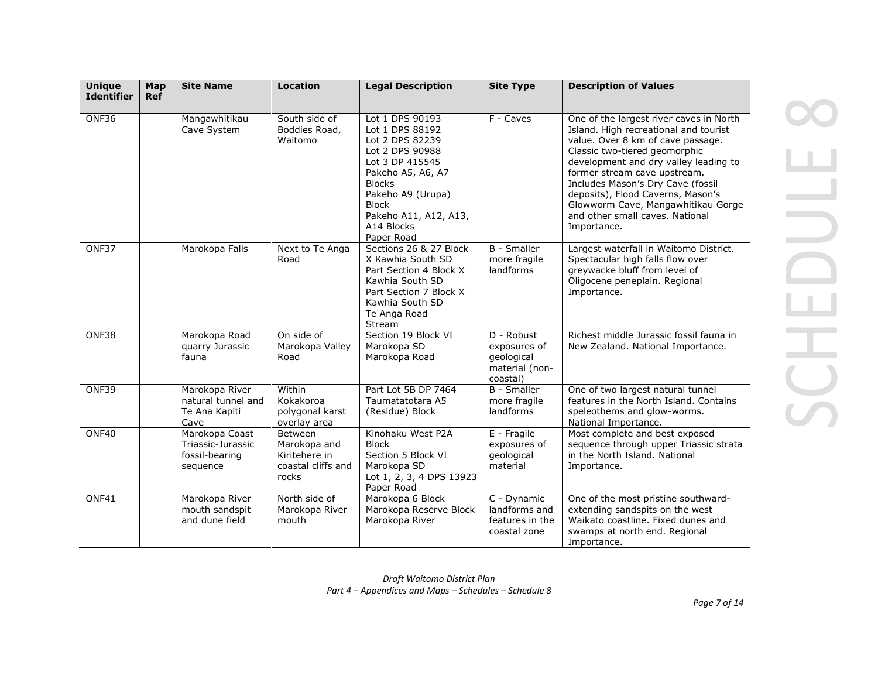| <b>Unique</b><br><b>Identifier</b> | Map<br><b>Ref</b> | <b>Site Name</b>                                                  | <b>Location</b>                                                         | <b>Legal Description</b>                                                                                                                                                                                                    | <b>Site Type</b>                                                       | <b>Description of Values</b>                                                                                                                                                                                                                                                                                                                                                                      |
|------------------------------------|-------------------|-------------------------------------------------------------------|-------------------------------------------------------------------------|-----------------------------------------------------------------------------------------------------------------------------------------------------------------------------------------------------------------------------|------------------------------------------------------------------------|---------------------------------------------------------------------------------------------------------------------------------------------------------------------------------------------------------------------------------------------------------------------------------------------------------------------------------------------------------------------------------------------------|
| ONF36                              |                   | Mangawhitikau<br>Cave System                                      | South side of<br>Boddies Road,<br>Waitomo                               | Lot 1 DPS 90193<br>Lot 1 DPS 88192<br>Lot 2 DPS 82239<br>Lot 2 DPS 90988<br>Lot 3 DP 415545<br>Pakeho A5, A6, A7<br><b>Blocks</b><br>Pakeho A9 (Urupa)<br><b>Block</b><br>Pakeho A11, A12, A13,<br>A14 Blocks<br>Paper Road | F - Caves                                                              | One of the largest river caves in North<br>Island. High recreational and tourist<br>value. Over 8 km of cave passage.<br>Classic two-tiered geomorphic<br>development and dry valley leading to<br>former stream cave upstream.<br>Includes Mason's Dry Cave (fossil<br>deposits), Flood Caverns, Mason's<br>Glowworm Cave, Mangawhitikau Gorge<br>and other small caves. National<br>Importance. |
| ONF37                              |                   | Marokopa Falls                                                    | Next to Te Anga<br>Road                                                 | Sections 26 & 27 Block<br>X Kawhia South SD<br>Part Section 4 Block X<br>Kawhia South SD<br>Part Section 7 Block X<br>Kawhia South SD<br>Te Anga Road<br>Stream                                                             | <b>B</b> - Smaller<br>more fragile<br>landforms                        | Largest waterfall in Waitomo District.<br>Spectacular high falls flow over<br>greywacke bluff from level of<br>Oligocene peneplain. Regional<br>Importance.                                                                                                                                                                                                                                       |
| ONF38                              |                   | Marokopa Road<br>quarry Jurassic<br>fauna                         | On side of<br>Marokopa Valley<br>Road                                   | Section 19 Block VI<br>Marokopa SD<br>Marokopa Road                                                                                                                                                                         | D - Robust<br>exposures of<br>geological<br>material (non-<br>coastal) | Richest middle Jurassic fossil fauna in<br>New Zealand. National Importance.                                                                                                                                                                                                                                                                                                                      |
| ONF39                              |                   | Marokopa River<br>natural tunnel and<br>Te Ana Kapiti<br>Cave     | Within<br>Kokakoroa<br>polygonal karst<br>overlay area                  | Part Lot 5B DP 7464<br>Taumatatotara A5<br>(Residue) Block                                                                                                                                                                  | <b>B</b> - Smaller<br>more fragile<br>landforms                        | One of two largest natural tunnel<br>features in the North Island, Contains<br>speleothems and glow-worms.<br>National Importance.                                                                                                                                                                                                                                                                |
| ONF40                              |                   | Marokopa Coast<br>Triassic-Jurassic<br>fossil-bearing<br>sequence | Between<br>Marokopa and<br>Kiritehere in<br>coastal cliffs and<br>rocks | Kinohaku West P2A<br><b>Block</b><br>Section 5 Block VI<br>Marokopa SD<br>Lot 1, 2, 3, 4 DPS 13923<br>Paper Road                                                                                                            | E - Fragile<br>exposures of<br>geological<br>material                  | Most complete and best exposed<br>sequence through upper Triassic strata<br>in the North Island, National<br>Importance.                                                                                                                                                                                                                                                                          |
| ONF41                              |                   | Marokopa River<br>mouth sandspit<br>and dune field                | North side of<br>Marokopa River<br>mouth                                | Marokopa 6 Block<br>Marokopa Reserve Block<br>Marokopa River                                                                                                                                                                | C - Dynamic<br>landforms and<br>features in the<br>coastal zone        | One of the most pristine southward-<br>extending sandspits on the west<br>Waikato coastline. Fixed dunes and<br>swamps at north end. Regional<br>Importance.                                                                                                                                                                                                                                      |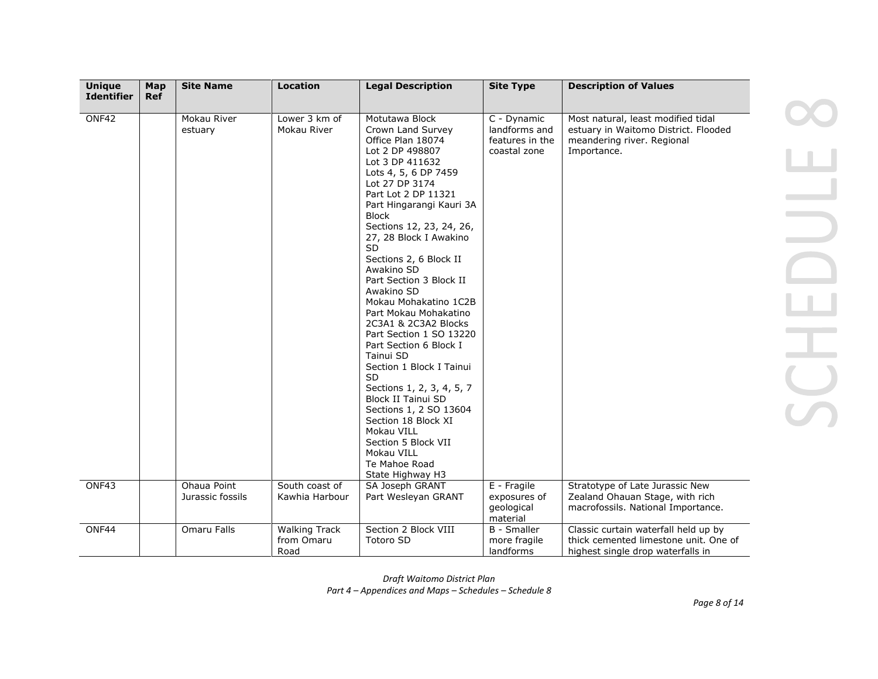| <b>Unique</b>     | Map        | <b>Site Name</b>                | <b>Location</b>                            | <b>Legal Description</b>                                                                                                                                                                                                                                                                                                                                                                                                                                                                                                                                                                                                                                                                                                                  | <b>Site Type</b>                                                | <b>Description of Values</b>                                                                                            |
|-------------------|------------|---------------------------------|--------------------------------------------|-------------------------------------------------------------------------------------------------------------------------------------------------------------------------------------------------------------------------------------------------------------------------------------------------------------------------------------------------------------------------------------------------------------------------------------------------------------------------------------------------------------------------------------------------------------------------------------------------------------------------------------------------------------------------------------------------------------------------------------------|-----------------------------------------------------------------|-------------------------------------------------------------------------------------------------------------------------|
| <b>Identifier</b> | <b>Ref</b> |                                 |                                            |                                                                                                                                                                                                                                                                                                                                                                                                                                                                                                                                                                                                                                                                                                                                           |                                                                 |                                                                                                                         |
| ONF42             |            | Mokau River<br>estuary          | Lower 3 km of<br>Mokau River               | Motutawa Block<br>Crown Land Survey<br>Office Plan 18074<br>Lot 2 DP 498807<br>Lot 3 DP 411632<br>Lots 4, 5, 6 DP 7459<br>Lot 27 DP 3174<br>Part Lot 2 DP 11321<br>Part Hingarangi Kauri 3A<br><b>Block</b><br>Sections 12, 23, 24, 26,<br>27, 28 Block I Awakino<br><b>SD</b><br>Sections 2, 6 Block II<br>Awakino SD<br>Part Section 3 Block II<br>Awakino SD<br>Mokau Mohakatino 1C2B<br>Part Mokau Mohakatino<br>2C3A1 & 2C3A2 Blocks<br>Part Section 1 SO 13220<br>Part Section 6 Block I<br>Tainui SD<br>Section 1 Block I Tainui<br>SD<br>Sections 1, 2, 3, 4, 5, 7<br>Block II Tainui SD<br>Sections 1, 2 SO 13604<br>Section 18 Block XI<br>Mokau VILL<br>Section 5 Block VII<br>Mokau VILL<br>Te Mahoe Road<br>State Highway H3 | C - Dynamic<br>landforms and<br>features in the<br>coastal zone | Most natural, least modified tidal<br>estuary in Waitomo District. Flooded<br>meandering river. Regional<br>Importance. |
| ONF43             |            | Ohaua Point<br>Jurassic fossils | South coast of<br>Kawhia Harbour           | SA Joseph GRANT<br>Part Wesleyan GRANT                                                                                                                                                                                                                                                                                                                                                                                                                                                                                                                                                                                                                                                                                                    | E - Fragile<br>exposures of<br>geological                       | Stratotype of Late Jurassic New<br>Zealand Ohauan Stage, with rich<br>macrofossils. National Importance.                |
| ONF44             |            | Omaru Falls                     | <b>Walking Track</b><br>from Omaru<br>Road | Section 2 Block VIII<br>Totoro SD                                                                                                                                                                                                                                                                                                                                                                                                                                                                                                                                                                                                                                                                                                         | material<br><b>B</b> - Smaller<br>more fragile<br>landforms     | Classic curtain waterfall held up by<br>thick cemented limestone unit. One of<br>highest single drop waterfalls in      |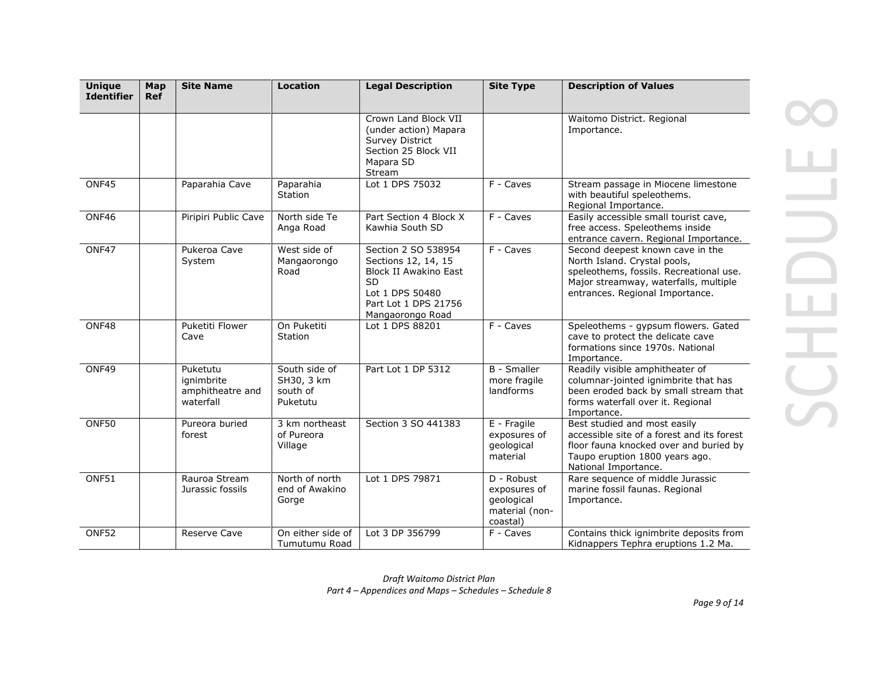| <b>Unique</b><br><b>Identifier</b> | Map<br><b>Ref</b> | <b>Site Name</b>                                        | <b>Location</b>                                     | <b>Legal Description</b>                                                                                                                        | <b>Site Type</b>                                                       | <b>Description of Values</b>                                                                                                                                                            |
|------------------------------------|-------------------|---------------------------------------------------------|-----------------------------------------------------|-------------------------------------------------------------------------------------------------------------------------------------------------|------------------------------------------------------------------------|-----------------------------------------------------------------------------------------------------------------------------------------------------------------------------------------|
|                                    |                   |                                                         |                                                     | Crown Land Block VII<br>(under action) Mapara<br><b>Survey District</b><br>Section 25 Block VII<br>Mapara SD<br>Stream                          |                                                                        | Waitomo District. Regional<br>Importance.                                                                                                                                               |
| ONF45                              |                   | Paparahia Cave                                          | Paparahia<br>Station                                | Lot 1 DPS 75032                                                                                                                                 | F - Caves                                                              | Stream passage in Miocene limestone<br>with beautiful speleothems.<br>Regional Importance.                                                                                              |
| ONF46                              |                   | Piripiri Public Cave                                    | North side Te<br>Anga Road                          | Part Section 4 Block X<br>Kawhia South SD                                                                                                       | F - Caves                                                              | Easily accessible small tourist cave,<br>free access. Speleothems inside<br>entrance cavern. Regional Importance.                                                                       |
| ONF47                              |                   | Pukeroa Cave<br>System                                  | West side of<br>Mangaorongo<br>Road                 | Section 2 SO 538954<br>Sections 12, 14, 15<br>Block II Awakino East<br><b>SD</b><br>Lot 1 DPS 50480<br>Part Lot 1 DPS 21756<br>Mangaorongo Road | F - Caves                                                              | Second deepest known cave in the<br>North Island. Crystal pools,<br>speleothems, fossils. Recreational use.<br>Major streamway, waterfalls, multiple<br>entrances. Regional Importance. |
| ONF48                              |                   | Puketiti Flower<br>Cave                                 | On Puketiti<br>Station                              | Lot 1 DPS 88201                                                                                                                                 | F - Caves                                                              | Speleothems - gypsum flowers. Gated<br>cave to protect the delicate cave<br>formations since 1970s. National<br>Importance.                                                             |
| ONF49                              |                   | Puketutu<br>ignimbrite<br>amphitheatre and<br>waterfall | South side of<br>SH30, 3 km<br>south of<br>Puketutu | Part Lot 1 DP 5312                                                                                                                              | <b>B</b> - Smaller<br>more fragile<br>landforms                        | Readily visible amphitheater of<br>columnar-jointed ignimbrite that has<br>been eroded back by small stream that<br>forms waterfall over it. Regional<br>Importance.                    |
| ONF50                              |                   | Pureora buried<br>forest                                | 3 km northeast<br>of Pureora<br>Village             | Section 3 SO 441383                                                                                                                             | E - Fragile<br>exposures of<br>geological<br>material                  | Best studied and most easily<br>accessible site of a forest and its forest<br>floor fauna knocked over and buried by<br>Taupo eruption 1800 years ago.<br>National Importance.          |
| ONF51                              |                   | Rauroa Stream<br>Jurassic fossils                       | North of north<br>end of Awakino<br>Gorge           | Lot 1 DPS 79871                                                                                                                                 | D - Robust<br>exposures of<br>geological<br>material (non-<br>coastal) | Rare sequence of middle Jurassic<br>marine fossil faunas. Regional<br>Importance.                                                                                                       |
| ONF52                              |                   | Reserve Cave                                            | On either side of<br>Tumutumu Road                  | Lot 3 DP 356799                                                                                                                                 | F - Caves                                                              | Contains thick ignimbrite deposits from<br>Kidnappers Tephra eruptions 1.2 Ma.                                                                                                          |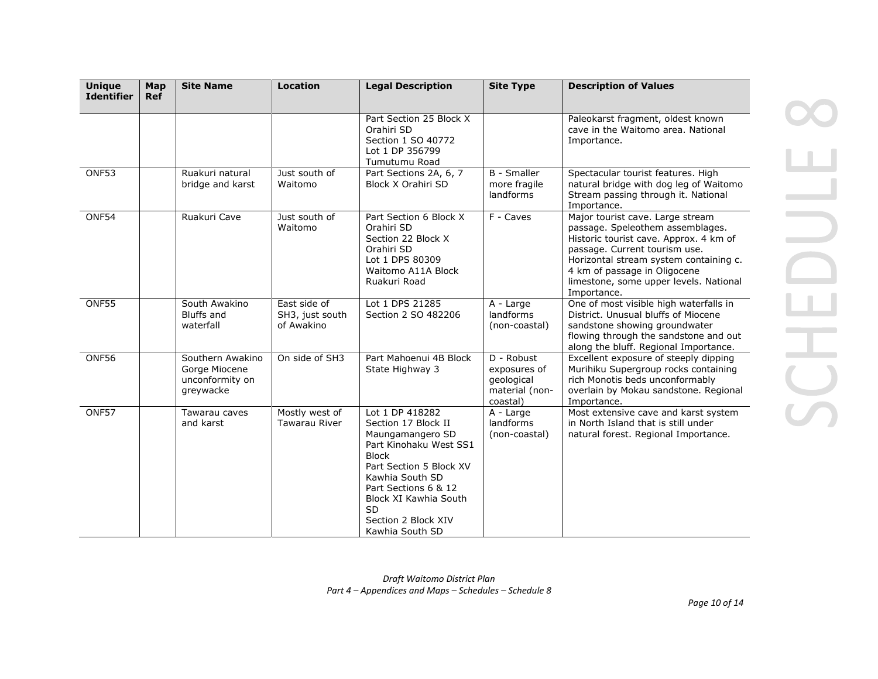| <b>Unique</b><br><b>Identifier</b> | Map<br><b>Ref</b> | <b>Site Name</b>                                                  | <b>Location</b>                               | <b>Legal Description</b>                                                                                                                                                                                                                                   | <b>Site Type</b>                                                       | <b>Description of Values</b>                                                                                                                                                                                                                                                       |
|------------------------------------|-------------------|-------------------------------------------------------------------|-----------------------------------------------|------------------------------------------------------------------------------------------------------------------------------------------------------------------------------------------------------------------------------------------------------------|------------------------------------------------------------------------|------------------------------------------------------------------------------------------------------------------------------------------------------------------------------------------------------------------------------------------------------------------------------------|
|                                    |                   |                                                                   |                                               | Part Section 25 Block X<br>Orahiri SD<br>Section 1 SO 40772<br>Lot 1 DP 356799<br>Tumutumu Road                                                                                                                                                            |                                                                        | Paleokarst fragment, oldest known<br>cave in the Waitomo area. National<br>Importance.                                                                                                                                                                                             |
| ONF53                              |                   | Ruakuri natural<br>bridge and karst                               | Just south of<br>Waitomo                      | Part Sections 2A, 6, 7<br>Block X Orahiri SD                                                                                                                                                                                                               | <b>B</b> - Smaller<br>more fragile<br>landforms                        | Spectacular tourist features. High<br>natural bridge with dog leg of Waitomo<br>Stream passing through it. National<br>Importance.                                                                                                                                                 |
| ONF54                              |                   | Ruakuri Cave                                                      | Just south of<br>Waitomo                      | Part Section 6 Block X<br>Orahiri SD<br>Section 22 Block X<br>Orahiri SD<br>Lot 1 DPS 80309<br>Waitomo A11A Block<br>Ruakuri Road                                                                                                                          | F - Caves                                                              | Major tourist cave. Large stream<br>passage. Speleothem assemblages.<br>Historic tourist cave. Approx. 4 km of<br>passage. Current tourism use.<br>Horizontal stream system containing c.<br>4 km of passage in Oligocene<br>limestone, some upper levels. National<br>Importance. |
| <b>ONF55</b>                       |                   | South Awakino<br><b>Bluffs and</b><br>waterfall                   | East side of<br>SH3, just south<br>of Awakino | Lot 1 DPS 21285<br>Section 2 SO 482206                                                                                                                                                                                                                     | A - Large<br>landforms<br>(non-coastal)                                | One of most visible high waterfalls in<br>District, Unusual bluffs of Miocene<br>sandstone showing groundwater<br>flowing through the sandstone and out<br>along the bluff. Regional Importance.                                                                                   |
| ONF56                              |                   | Southern Awakino<br>Gorge Miocene<br>unconformity on<br>greywacke | On side of SH3                                | Part Mahoenui 4B Block<br>State Highway 3                                                                                                                                                                                                                  | D - Robust<br>exposures of<br>geological<br>material (non-<br>coastal) | Excellent exposure of steeply dipping<br>Murihiku Supergroup rocks containing<br>rich Monotis beds unconformably<br>overlain by Mokau sandstone. Regional<br>Importance.                                                                                                           |
| ONF57                              |                   | Tawarau caves<br>and karst                                        | Mostly west of<br><b>Tawarau River</b>        | Lot 1 DP 418282<br>Section 17 Block II<br>Maungamangero SD<br>Part Kinohaku West SS1<br><b>Block</b><br>Part Section 5 Block XV<br>Kawhia South SD<br>Part Sections 6 & 12<br>Block XI Kawhia South<br><b>SD</b><br>Section 2 Block XIV<br>Kawhia South SD | A - Large<br>landforms<br>(non-coastal)                                | Most extensive cave and karst system<br>in North Island that is still under<br>natural forest. Regional Importance.                                                                                                                                                                |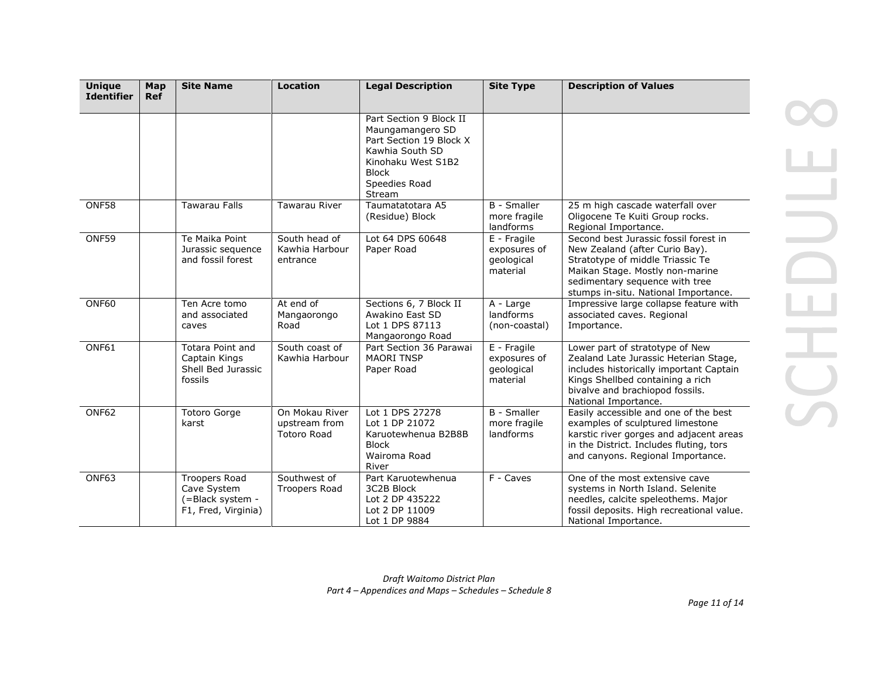| <b>Unique</b><br><b>Identifier</b> | Map<br><b>Ref</b> | <b>Site Name</b>                                                               | <b>Location</b>                                       | <b>Legal Description</b>                                                                                                                                   | <b>Site Type</b>                                      | <b>Description of Values</b>                                                                                                                                                                                             |
|------------------------------------|-------------------|--------------------------------------------------------------------------------|-------------------------------------------------------|------------------------------------------------------------------------------------------------------------------------------------------------------------|-------------------------------------------------------|--------------------------------------------------------------------------------------------------------------------------------------------------------------------------------------------------------------------------|
|                                    |                   |                                                                                |                                                       | Part Section 9 Block II<br>Maungamangero SD<br>Part Section 19 Block X<br>Kawhia South SD<br>Kinohaku West S1B2<br><b>Block</b><br>Speedies Road<br>Stream |                                                       |                                                                                                                                                                                                                          |
| ONF58                              |                   | <b>Tawarau Falls</b>                                                           | <b>Tawarau River</b>                                  | Taumatatotara A5<br>(Residue) Block                                                                                                                        | <b>B</b> - Smaller<br>more fragile<br>landforms       | 25 m high cascade waterfall over<br>Oligocene Te Kuiti Group rocks.<br>Regional Importance.                                                                                                                              |
| ONF59                              |                   | Te Maika Point<br>Jurassic sequence<br>and fossil forest                       | South head of<br>Kawhia Harbour<br>entrance           | Lot 64 DPS 60648<br>Paper Road                                                                                                                             | E - Fragile<br>exposures of<br>qeological<br>material | Second best Jurassic fossil forest in<br>New Zealand (after Curio Bay).<br>Stratotype of middle Triassic Te<br>Maikan Stage. Mostly non-marine<br>sedimentary sequence with tree<br>stumps in-situ. National Importance. |
| ONF60                              |                   | Ten Acre tomo<br>and associated<br>caves                                       | At end of<br>Mangaorongo<br>Road                      | Sections 6, 7 Block II<br>Awakino East SD<br>Lot 1 DPS 87113<br>Mangaorongo Road                                                                           | A - Large<br>landforms<br>(non-coastal)               | Impressive large collapse feature with<br>associated caves. Regional<br>Importance.                                                                                                                                      |
| ONF61                              |                   | <b>Totara Point and</b><br>Captain Kings<br>Shell Bed Jurassic<br>fossils      | South coast of<br>Kawhia Harbour                      | Part Section 36 Parawai<br><b>MAORI TNSP</b><br>Paper Road                                                                                                 | E - Fragile<br>exposures of<br>qeological<br>material | Lower part of stratotype of New<br>Zealand Late Jurassic Heterian Stage,<br>includes historically important Captain<br>Kings Shellbed containing a rich<br>bivalve and brachiopod fossils.<br>National Importance.       |
| ONF62                              |                   | <b>Totoro Gorge</b><br>karst                                                   | On Mokau River<br>upstream from<br><b>Totoro Road</b> | Lot 1 DPS 27278<br>Lot 1 DP 21072<br>Karuotewhenua B2B8B<br><b>Block</b><br>Wairoma Road<br>River                                                          | <b>B</b> - Smaller<br>more fragile<br>landforms       | Easily accessible and one of the best<br>examples of sculptured limestone<br>karstic river gorges and adjacent areas<br>in the District. Includes fluting, tors<br>and canyons. Regional Importance.                     |
| ONF63                              |                   | <b>Troopers Road</b><br>Cave System<br>(=Black system -<br>F1, Fred, Virginia) | Southwest of<br>Troopers Road                         | Part Karuotewhenua<br>3C2B Block<br>Lot 2 DP 435222<br>Lot 2 DP 11009<br>Lot 1 DP 9884                                                                     | F - Caves                                             | One of the most extensive cave<br>systems in North Island. Selenite<br>needles, calcite speleothems. Major<br>fossil deposits. High recreational value.<br>National Importance.                                          |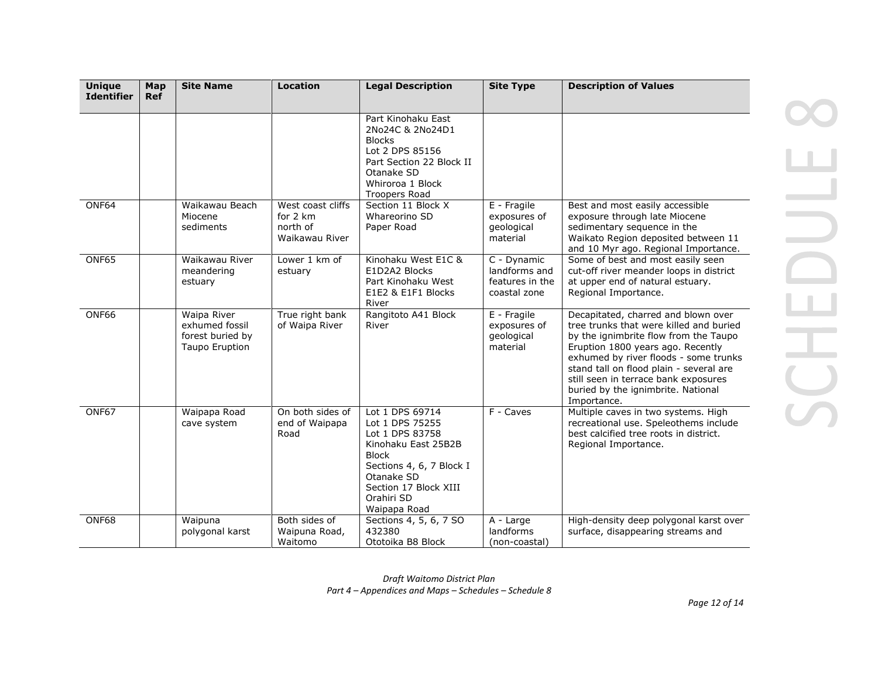| <b>Unique</b><br><b>Identifier</b> | Map<br><b>Ref</b> | <b>Site Name</b>                                                           | <b>Location</b>                                             | <b>Legal Description</b>                                                                                                                                                                      | <b>Site Type</b>                                                | <b>Description of Values</b>                                                                                                                                                                                                                                                                                                                  |
|------------------------------------|-------------------|----------------------------------------------------------------------------|-------------------------------------------------------------|-----------------------------------------------------------------------------------------------------------------------------------------------------------------------------------------------|-----------------------------------------------------------------|-----------------------------------------------------------------------------------------------------------------------------------------------------------------------------------------------------------------------------------------------------------------------------------------------------------------------------------------------|
|                                    |                   |                                                                            |                                                             | Part Kinohaku East<br>2No24C & 2No24D1<br><b>Blocks</b><br>Lot 2 DPS 85156<br>Part Section 22 Block II<br>Otanake SD<br>Whiroroa 1 Block<br><b>Troopers Road</b>                              |                                                                 |                                                                                                                                                                                                                                                                                                                                               |
| ONF64                              |                   | Waikawau Beach<br>Miocene<br>sediments                                     | West coast cliffs<br>for 2 km<br>north of<br>Waikawau River | Section 11 Block X<br>Whareorino SD<br>Paper Road                                                                                                                                             | E - Fragile<br>exposures of<br>geological<br>material           | Best and most easily accessible<br>exposure through late Miocene<br>sedimentary sequence in the<br>Waikato Region deposited between 11<br>and 10 Myr ago. Regional Importance.                                                                                                                                                                |
| ONF65                              |                   | Waikawau River<br>meandering<br>estuary                                    | Lower 1 km of<br>estuary                                    | Kinohaku West E1C &<br>E1D2A2 Blocks<br>Part Kinohaku West<br>E1E2 & E1F1 Blocks<br>River                                                                                                     | C - Dynamic<br>landforms and<br>features in the<br>coastal zone | Some of best and most easily seen<br>cut-off river meander loops in district<br>at upper end of natural estuary.<br>Regional Importance.                                                                                                                                                                                                      |
| ONF66                              |                   | <b>Waipa River</b><br>exhumed fossil<br>forest buried by<br>Taupo Eruption | True right bank<br>of Waipa River                           | Rangitoto A41 Block<br>River                                                                                                                                                                  | E - Fragile<br>exposures of<br>geological<br>material           | Decapitated, charred and blown over<br>tree trunks that were killed and buried<br>by the ignimbrite flow from the Taupo<br>Eruption 1800 years ago. Recently<br>exhumed by river floods - some trunks<br>stand tall on flood plain - several are<br>still seen in terrace bank exposures<br>buried by the ignimbrite. National<br>Importance. |
| ONF67                              |                   | Waipapa Road<br>cave system                                                | On both sides of<br>end of Waipapa<br>Road                  | Lot 1 DPS 69714<br>Lot 1 DPS 75255<br>Lot 1 DPS 83758<br>Kinohaku East 25B2B<br><b>Block</b><br>Sections 4, 6, 7 Block I<br>Otanake SD<br>Section 17 Block XIII<br>Orahiri SD<br>Waipapa Road | F - Caves                                                       | Multiple caves in two systems. High<br>recreational use. Speleothems include<br>best calcified tree roots in district.<br>Regional Importance.                                                                                                                                                                                                |
| ONF68                              |                   | Waipuna<br>polygonal karst                                                 | Both sides of<br>Waipuna Road,<br>Waitomo                   | Sections 4, 5, 6, 7 SO<br>432380<br>Ototoika B8 Block                                                                                                                                         | A - Large<br>landforms<br>(non-coastal)                         | High-density deep polygonal karst over<br>surface, disappearing streams and                                                                                                                                                                                                                                                                   |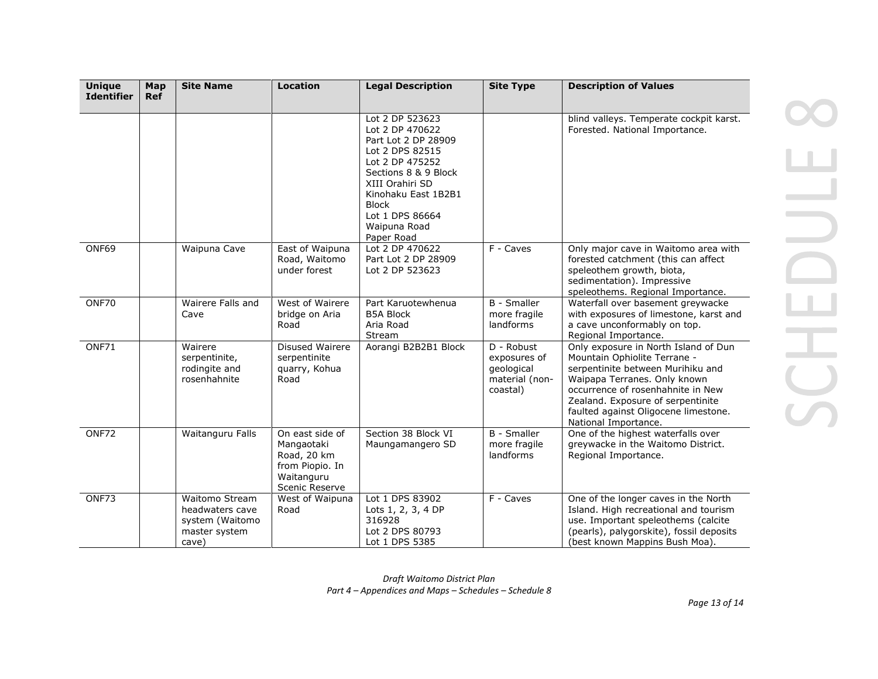| <b>Unique</b><br><b>Identifier</b> | Map<br><b>Ref</b> | <b>Site Name</b>                                                               | <b>Location</b>                                                                                 | <b>Legal Description</b>                                                                                                                                                                                                           | <b>Site Type</b>                                                       | <b>Description of Values</b>                                                                                                                                                                                                                                                        |
|------------------------------------|-------------------|--------------------------------------------------------------------------------|-------------------------------------------------------------------------------------------------|------------------------------------------------------------------------------------------------------------------------------------------------------------------------------------------------------------------------------------|------------------------------------------------------------------------|-------------------------------------------------------------------------------------------------------------------------------------------------------------------------------------------------------------------------------------------------------------------------------------|
|                                    |                   |                                                                                |                                                                                                 | Lot 2 DP 523623<br>Lot 2 DP 470622<br>Part Lot 2 DP 28909<br>Lot 2 DPS 82515<br>Lot 2 DP 475252<br>Sections 8 & 9 Block<br>XIII Orahiri SD<br>Kinohaku East 1B2B1<br><b>Block</b><br>Lot 1 DPS 86664<br>Waipuna Road<br>Paper Road |                                                                        | blind valleys. Temperate cockpit karst.<br>Forested. National Importance.                                                                                                                                                                                                           |
| ONF69                              |                   | Waipuna Cave                                                                   | East of Waipuna<br>Road, Waitomo<br>under forest                                                | Lot 2 DP 470622<br>Part Lot 2 DP 28909<br>Lot 2 DP 523623                                                                                                                                                                          | F - Caves                                                              | Only major cave in Waitomo area with<br>forested catchment (this can affect<br>speleothem growth, biota,<br>sedimentation). Impressive<br>speleothems. Regional Importance.                                                                                                         |
| ONF70                              |                   | Wairere Falls and<br>Cave                                                      | West of Wairere<br>bridge on Aria<br>Road                                                       | Part Karuotewhenua<br><b>B5A Block</b><br>Aria Road<br>Stream                                                                                                                                                                      | <b>B</b> - Smaller<br>more fragile<br>landforms                        | Waterfall over basement greywacke<br>with exposures of limestone, karst and<br>a cave unconformably on top.<br>Regional Importance.                                                                                                                                                 |
| ONF71                              |                   | Wairere<br>serpentinite,<br>rodingite and<br>rosenhahnite                      | <b>Disused Wairere</b><br>serpentinite<br>quarry, Kohua<br>Road                                 | Aorangi B2B2B1 Block                                                                                                                                                                                                               | D - Robust<br>exposures of<br>geological<br>material (non-<br>coastal) | Only exposure in North Island of Dun<br>Mountain Ophiolite Terrane -<br>serpentinite between Murihiku and<br>Waipapa Terranes. Only known<br>occurrence of rosenhahnite in New<br>Zealand. Exposure of serpentinite<br>faulted against Oligocene limestone.<br>National Importance. |
| ONF72                              |                   | Waitanguru Falls                                                               | On east side of<br>Mangaotaki<br>Road, 20 km<br>from Piopio. In<br>Waitanguru<br>Scenic Reserve | Section 38 Block VI<br>Maungamangero SD                                                                                                                                                                                            | <b>B</b> - Smaller<br>more fragile<br>landforms                        | One of the highest waterfalls over<br>greywacke in the Waitomo District.<br>Regional Importance.                                                                                                                                                                                    |
| ONF73                              |                   | Waitomo Stream<br>headwaters cave<br>system (Waitomo<br>master system<br>cave) | West of Waipuna<br>Road                                                                         | Lot 1 DPS 83902<br>Lots 1, 2, 3, 4 DP<br>316928<br>Lot 2 DPS 80793<br>Lot 1 DPS 5385                                                                                                                                               | F - Caves                                                              | One of the longer caves in the North<br>Island. High recreational and tourism<br>use. Important speleothems (calcite<br>(pearls), palygorskite), fossil deposits<br>(best known Mappins Bush Moa).                                                                                  |